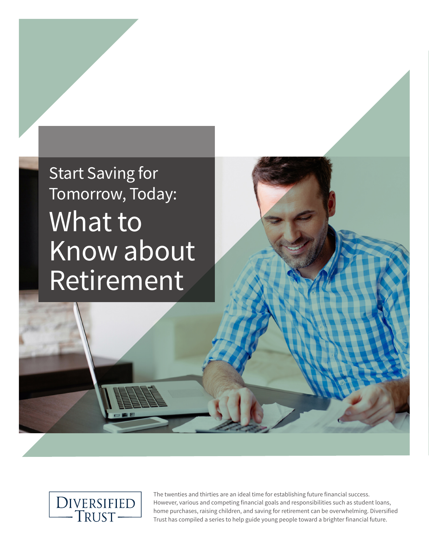# Start Saving for Tomorrow, Today: What to Know about Retirement



The twenties and thirties are an ideal time for establishing future financial success. However, various and competing financial goals and responsibilities such as student loans, home purchases, raising children, and saving for retirement can be overwhelming. Diversified Trust has compiled a series to help guide young people toward a brighter financial future.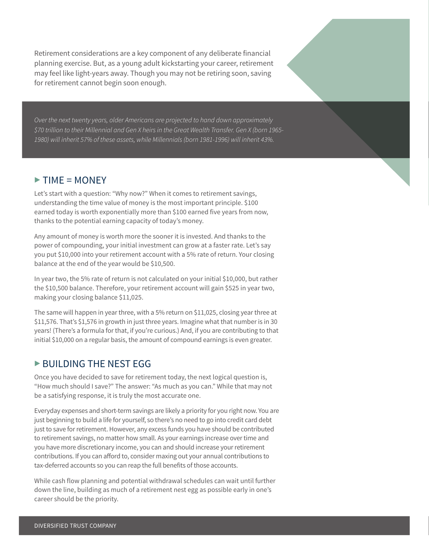Retirement considerations are a key component of any deliberate financial planning exercise. But, as a young adult kickstarting your career, retirement may feel like light-years away. Though you may not be retiring soon, saving for retirement cannot begin soon enough.

*Over the next twenty years, older Americans are projected to hand down approximately \$70 trillion to their Millennial and Gen X heirs in the Great Wealth Transfer. Gen X (born 1965- 1980) will inherit 57% of these assets, while Millennials (born 1981-1996) will inherit 43%.*

# $\triangleright$  TIME = MONEY

Let's start with a question: "Why now?" When it comes to retirement savings, understanding the time value of money is the most important principle. \$100 earned today is worth exponentially more than \$100 earned five years from now, thanks to the potential earning capacity of today's money.

Any amount of money is worth more the sooner it is invested. And thanks to the power of compounding, your initial investment can grow at a faster rate. Let's say you put \$10,000 into your retirement account with a 5% rate of return. Your closing balance at the end of the year would be \$10,500.

In year two, the 5% rate of return is not calculated on your initial \$10,000, but rather the \$10,500 balance. Therefore, your retirement account will gain \$525 in year two, making your closing balance \$11,025.

The same will happen in year three, with a 5% return on \$11,025, closing year three at \$11,576. That's \$1,576 in growth in just three years. Imagine what that number is in 30 years! (There's a formula for that, if you're curious.) And, if you are contributing to that initial \$10,000 on a regular basis, the amount of compound earnings is even greater.

### ▶ BUILDING THE NEST EGG

Once you have decided to save for retirement today, the next logical question is, "How much should I save?" The answer: "As much as you can." While that may not be a satisfying response, it is truly the most accurate one.

Everyday expenses and short-term savings are likely a priority for you right now. You are just beginning to build a life for yourself, so there's no need to go into credit card debt just to save for retirement. However, any excess funds you have should be contributed to retirement savings, no matter how small. As your earnings increase over time and you have more discretionary income, you can and should increase your retirement contributions. If you can afford to, consider maxing out your annual contributions to tax-deferred accounts so you can reap the full benefits of those accounts.

While cash flow planning and potential withdrawal schedules can wait until further down the line, building as much of a retirement nest egg as possible early in one's career should be the priority.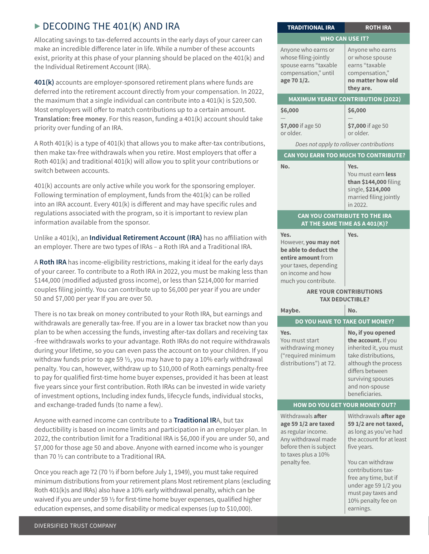# $\triangleright$  DECODING THE 401(K) AND IRA

Allocating savings to tax-deferred accounts in the early days of your career can make an incredible difference later in life. While a number of these accounts exist, priority at this phase of your planning should be placed on the 401(k) and the Individual Retirement Account (IRA).

**401(k)** accounts are employer-sponsored retirement plans where funds are deferred into the retirement account directly from your compensation. In 2022, the maximum that a single individual can contribute into a 401(k) is \$20,500. Most employers will offer to match contributions up to a certain amount. **Translation: free money**. For this reason, funding a 401(k) account should take priority over funding of an IRA.

A Roth  $401(k)$  is a type of  $401(k)$  that allows you to make after-tax contributions, then make tax-free withdrawals when you retire. Most employers that offer a Roth 401(k) and traditional 401(k) will allow you to split your contributions or switch between accounts.

401(k) accounts are only active while you work for the sponsoring employer. Following termination of employment, funds from the 401(k) can be rolled into an IRA account. Every 401(k) is different and may have specific rules and regulations associated with the program, so it is important to review plan information available from the sponsor.

Unlike a 401(k), an **Individual Retirement Account (IRA)** has no affiliation with an employer. There are two types of IRAs – a Roth IRA and a Traditional IRA.

A **Roth IRA** has income-eligibility restrictions, making it ideal for the early days of your career. To contribute to a Roth IRA in 2022, you must be making less than \$144,000 (modified adjusted gross income), or less than \$214,000 for married couples filing jointly. You can contribute up to \$6,000 per year if you are under 50 and \$7,000 per year If you are over 50.

There is no tax break on money contributed to your Roth IRA, but earnings and withdrawals are generally tax-free. If you are in a lower tax bracket now than you plan to be when accessing the funds, investing after-tax dollars and receiving tax -free withdrawals works to your advantage. Roth IRAs do not require withdrawals during your lifetime, so you can even pass the account on to your children. If you withdraw funds prior to age 59  $\frac{1}{2}$ , you may have to pay a 10% early withdrawal penalty. You can, however, withdraw up to \$10,000 of Roth earnings penalty-free to pay for qualified first-time home buyer expenses, provided it has been at least five years since your first contribution. Roth IRAs can be invested in wide variety of investment options, Including index funds, lifecycle funds, individual stocks, and exchange-traded funds (to name a few).

Anyone with earned income can contribute to a **Traditional IR**A, but tax deductibility is based on income limits and participation in an employer plan. In 2022, the contribution limit for a Traditional IRA is \$6,000 if you are under 50, and \$7,000 for those age 50 and above. Anyone with earned income who is younger than 70 ½ can contribute to a Traditional IRA.

Once you reach age 72 (70 ½ if born before July 1, 1949), you must take required minimum distributions from your retirement plans Most retirement plans (excluding Roth 401(k)s and IRAs) also have a 10% early withdrawal penalty, which can be waived if you are under 59 ½ for first-time home buyer expenses, qualified higher education expenses, and some disability or medical expenses (up to \$10,000).

| <b>MAXIMUM YEARLY CONTRIBUTION (2022)</b>                                                                                                                      |                                                                                                                                                                                                               |
|----------------------------------------------------------------------------------------------------------------------------------------------------------------|---------------------------------------------------------------------------------------------------------------------------------------------------------------------------------------------------------------|
| \$6,000                                                                                                                                                        | \$6,000                                                                                                                                                                                                       |
| \$7,000 if age 50<br>or older.                                                                                                                                 | \$7,000 if age 50<br>or older.                                                                                                                                                                                |
| Does not apply to rollover contributions                                                                                                                       |                                                                                                                                                                                                               |
| CAN YOU EARN TOO MUCH TO CONTRIBUTE?                                                                                                                           |                                                                                                                                                                                                               |
| No.                                                                                                                                                            | Yes.<br>You must earn less<br>than \$144,000 filing<br>single, \$214,000<br>married filing jointly<br>in 2022.                                                                                                |
| CAN YOU CONTRIBUTE TO THE IRA<br>AT THE SAME TIME AS A 401 $(K)$ ?                                                                                             |                                                                                                                                                                                                               |
| Yes.<br>However, you may not<br>be able to deduct the<br>entire amount from<br>your taxes, depending<br>on income and how<br>much you contribute.              | Yes.                                                                                                                                                                                                          |
| <b>ARE YOUR CONTRIBUTIONS</b><br><b>TAX DEDUCTIBLE?</b>                                                                                                        |                                                                                                                                                                                                               |
| Maybe.                                                                                                                                                         | No.                                                                                                                                                                                                           |
| DO YOU HAVE TO TAKE OUT MONEY?                                                                                                                                 |                                                                                                                                                                                                               |
| Yes.<br>You must start<br>withdrawing money<br>("required minimum<br>distributions") at 72.                                                                    | No, if you opened<br>the account. If you<br>inherited it, you must<br>take distributions,<br>although the process<br>differs between<br>surviving spouses<br>and non-spouse<br>beneficiaries.                 |
| <b>HOW DO YOU GET YOUR MONEY OUT?</b>                                                                                                                          |                                                                                                                                                                                                               |
| Withdrawals <b>after</b><br>age 59 1/2 are taxed<br>as regular income.<br>Any withdrawal made<br>before then is subject<br>to taxes plus a 10%<br>penalty fee. | Withdrawals after age<br>59 1/2 are not taxed,<br>as long as you've had<br>the account for at least<br>five years.<br>You can withdraw<br>contributions tax-<br>free any time, but if<br>under age 59 1/2 you |
|                                                                                                                                                                | must pay taxes and                                                                                                                                                                                            |

10% penalty fee on

earnings.

**TRADITIONAL IRA ROTH IRA WHO CAN USE IT?**

> Anyone who earns or whose spouse earns "taxable compensation," **no matter how old**

**they are.**

Anyone who earns or whose filing-jointly spouse earns "taxable compensation," until

**age 70 1/2.**